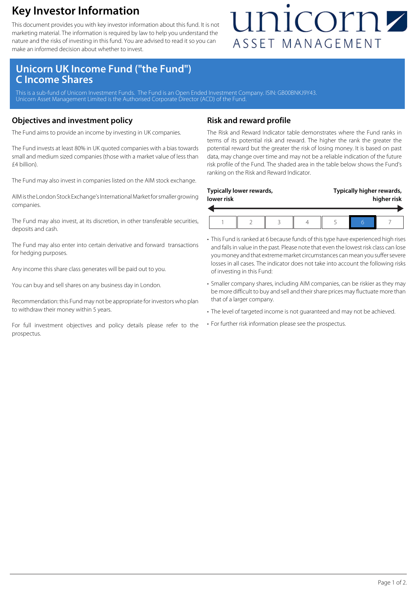### **Key Investor Information**

This document provides you with key investor information about this fund. It is not marketing material. The information is required by law to help you understand the nature and the risks of investing in this fund. You are advised to read it so you can make an informed decision about whether to invest.

## unicornz ASSET MANAGEMENT

### **Unicorn UK Income Fund ("the Fund") C Income Shares**

This is a sub-fund of Unicorn Investment Funds. The Fund is an Open Ended Investment Company. ISIN: GB00BNKJ9Y43. Unicorn Asset Management Limited is the Authorised Corporate Director (ACD) of the Fund.

#### **Objectives and investment policy**

The Fund aims to provide an income by investing in UK companies.

The Fund invests at least 80% in UK quoted companies with a bias towards small and medium sized companies (those with a market value of less than £4 billion).

The Fund may also invest in companies listed on the AIM stock exchange.

AIM is the London Stock Exchange's International Market for smaller growing companies.

The Fund may also invest, at its discretion, in other transferable securities, deposits and cash.

The Fund may also enter into certain derivative and forward transactions for hedging purposes.

Any income this share class generates will be paid out to you.

You can buy and sell shares on any business day in London.

Recommendation: this Fund may not be appropriate for investors who plan to withdraw their money within 5 years.

For full investment objectives and policy details please refer to the prospectus.

#### **Risk and reward profile**

The Risk and Reward Indicator table demonstrates where the Fund ranks in terms of its potential risk and reward. The higher the rank the greater the potential reward but the greater the risk of losing money. It is based on past data, may change over time and may not be a reliable indication of the future risk profile of the Fund. The shaded area in the table below shows the Fund's ranking on the Risk and Reward Indicator.

| Typically lower rewards,<br>lower risk |  |  |  | Typically higher rewards,<br>higher risk |  |  |  |
|----------------------------------------|--|--|--|------------------------------------------|--|--|--|
|                                        |  |  |  |                                          |  |  |  |

- This Fund is ranked at 6 because funds of this type have experienced high rises and falls in value in the past. Please note that even the lowest risk class can lose you money and that extreme market circumstances can mean you suffer severe losses in all cases. The indicator does not take into account the following risks of investing in this Fund:
- Smaller company shares, including AIM companies, can be riskier as they may be more difficult to buy and sell and their share prices may fluctuate more than that of a larger company.
- The level of targeted income is not guaranteed and may not be achieved.
- For further risk information please see the prospectus.